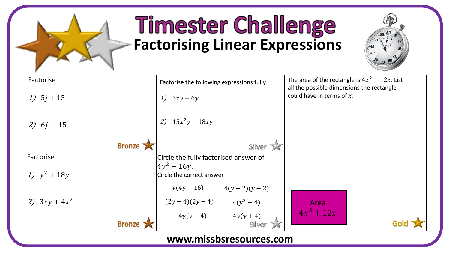

## **Timester Challenge Factorising Linear Expressions**